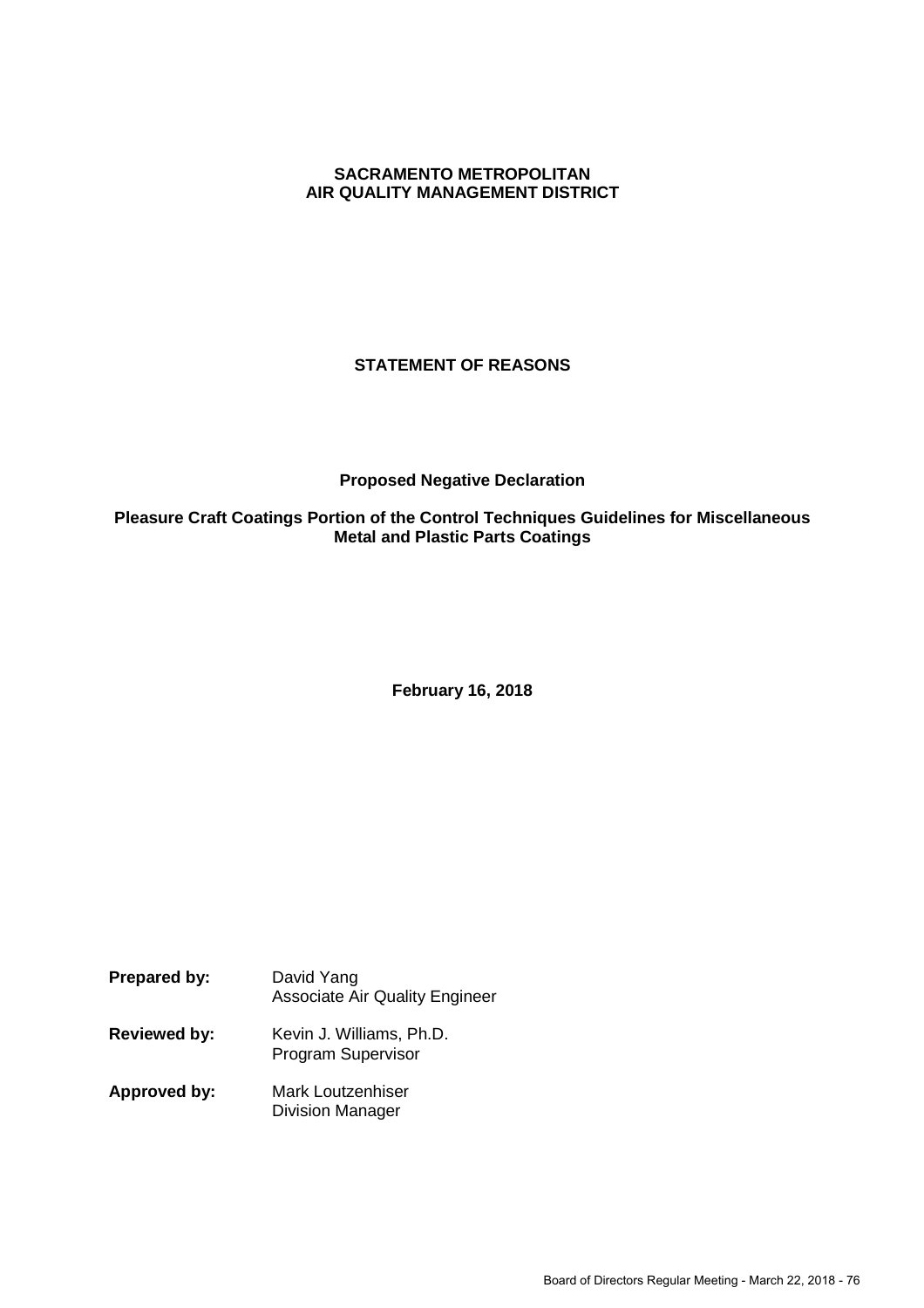## **SACRAMENTO METROPOLITAN AIR QUALITY MANAGEMENT DISTRICT**

# **STATEMENT OF REASONS**

### **Proposed Negative Declaration**

## **Pleasure Craft Coatings Portion of the Control Techniques Guidelines for Miscellaneous Metal and Plastic Parts Coatings**

**February 16, 2018**

- **Prepared by:** David Yang Associate Air Quality Engineer **Reviewed by:** Kevin J. Williams, Ph.D. Program Supervisor
- **Approved by:** Mark Loutzenhiser Division Manager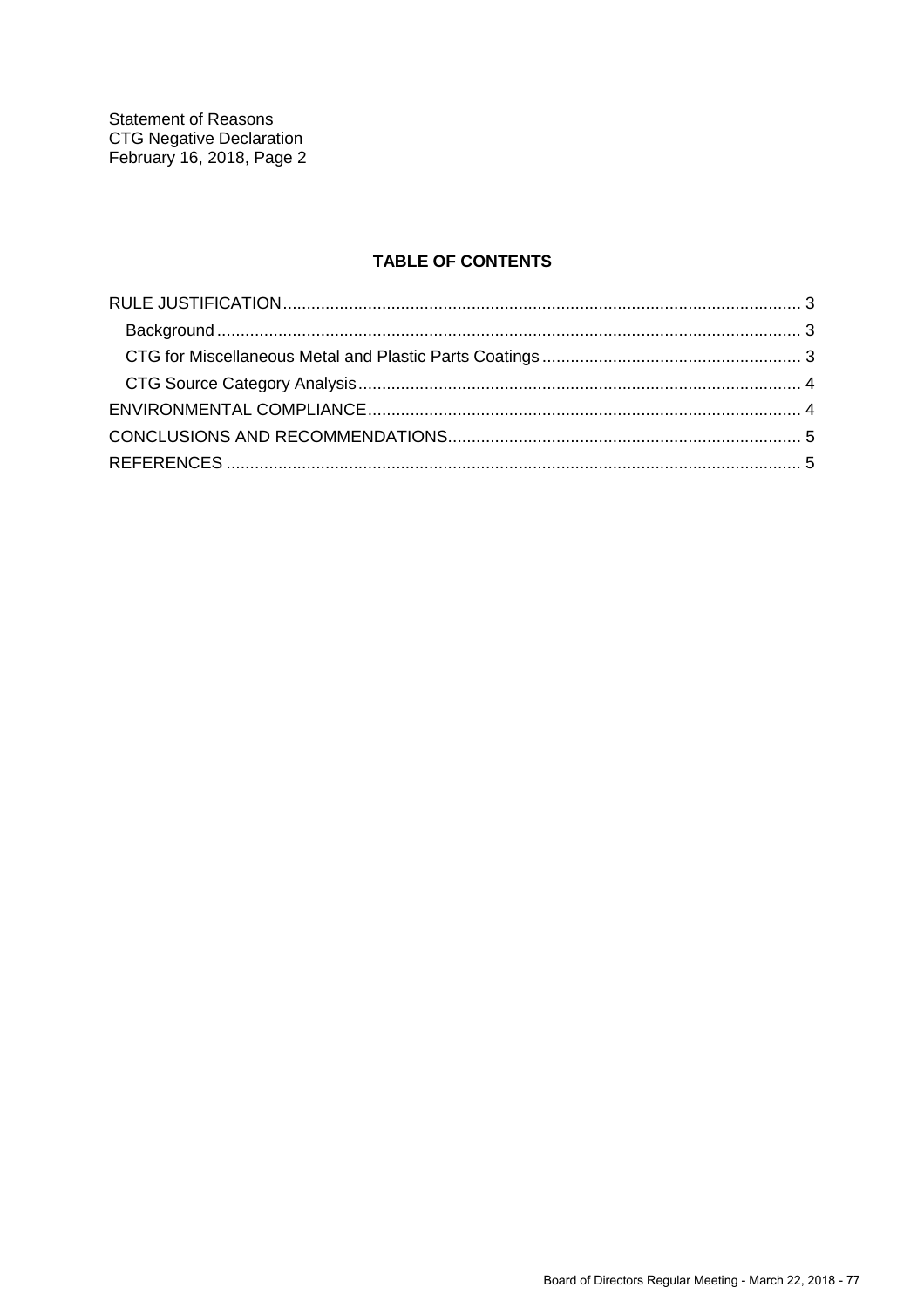**Statement of Reasons CTG Negative Declaration** February 16, 2018, Page 2

# **TABLE OF CONTENTS**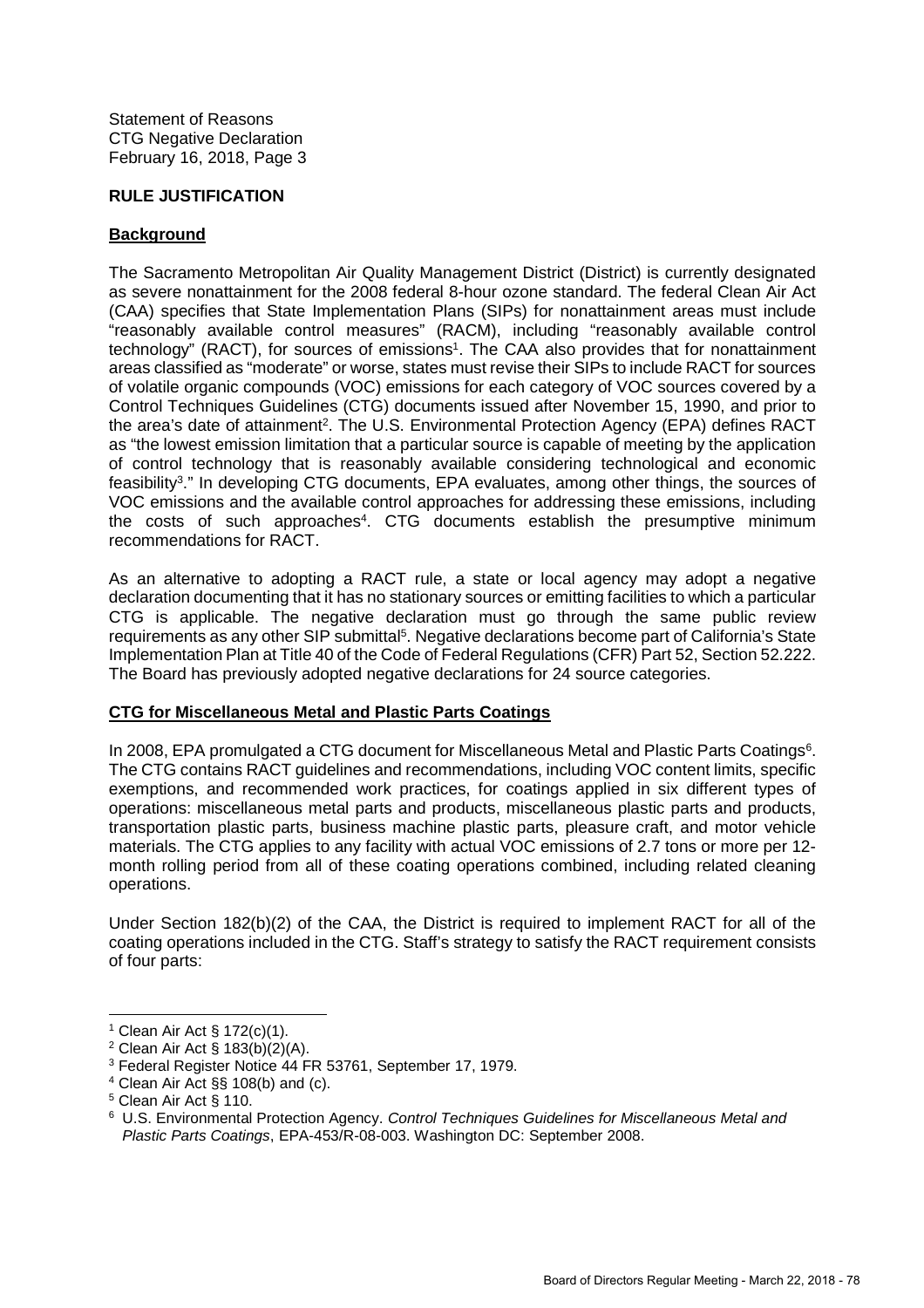### **RULE JUSTIFICATION**

### **Background**

The Sacramento Metropolitan Air Quality Management District (District) is currently designated as severe nonattainment for the 2008 federal 8-hour ozone standard. The federal Clean Air Act (CAA) specifies that State Implementation Plans (SIPs) for nonattainment areas must include "reasonably available control measures" (RACM), including "reasonably available control technology" (RACT), for sources of emissions<sup>1</sup>. The CAA also provides that for nonattainment areas classified as "moderate" or worse, states must revise their SIPs to include RACT for sources of volatile organic compounds (VOC) emissions for each category of VOC sources covered by a Control Techniques Guidelines (CTG) documents issued after November 15, 1990, and prior to the area's date of attainment<sup>2</sup>. The U.S. Environmental Protection Agency (EPA) defines RACT as "the lowest emission limitation that a particular source is capable of meeting by the application of control technology that is reasonably available considering technological and economic feasibility<sup>3</sup>." In developing CTG documents, EPA evaluates, among other things, the sources of VOC emissions and the available control approaches for addressing these emissions, including the costs of such approaches<sup>4</sup>. CTG documents establish the presumptive minimum recommendations for RACT.

As an alternative to adopting a RACT rule, a state or local agency may adopt a negative declaration documenting that it has no stationary sources or emitting facilities to which a particular CTG is applicable. The negative declaration must go through the same public review requirements as any other SIP submittal<sup>5</sup>. Negative declarations become part of California's State Implementation Plan at Title 40 of the Code of Federal Regulations (CFR) Part 52, Section 52.222. The Board has previously adopted negative declarations for 24 source categories.

## **CTG for Miscellaneous Metal and Plastic Parts Coatings**

In 2008, EPA promulgated a CTG document for Miscellaneous Metal and Plastic Parts Coatings<sup>6</sup>. The CTG contains RACT guidelines and recommendations, including VOC content limits, specific exemptions, and recommended work practices, for coatings applied in six different types of operations: miscellaneous metal parts and products, miscellaneous plastic parts and products, transportation plastic parts, business machine plastic parts, pleasure craft, and motor vehicle materials. The CTG applies to any facility with actual VOC emissions of 2.7 tons or more per 12 month rolling period from all of these coating operations combined, including related cleaning operations.

Under Section 182(b)(2) of the CAA, the District is required to implement RACT for all of the coating operations included in the CTG. Staff's strategy to satisfy the RACT requirement consists of four parts:

<sup>1</sup> Clean Air Act § 172(c)(1).

<sup>&</sup>lt;sup>2</sup> Clean Air Act §  $183(b)(2)(A)$ .

<sup>3</sup> Federal Register Notice 44 FR 53761, September 17, 1979.

<sup>4</sup> Clean Air Act §§ 108(b) and (c).

<sup>5</sup> Clean Air Act § 110.

<sup>6</sup> U.S. Environmental Protection Agency. *Control Techniques Guidelines for Miscellaneous Metal and Plastic Parts Coatings*, EPA-453/R-08-003. Washington DC: September 2008.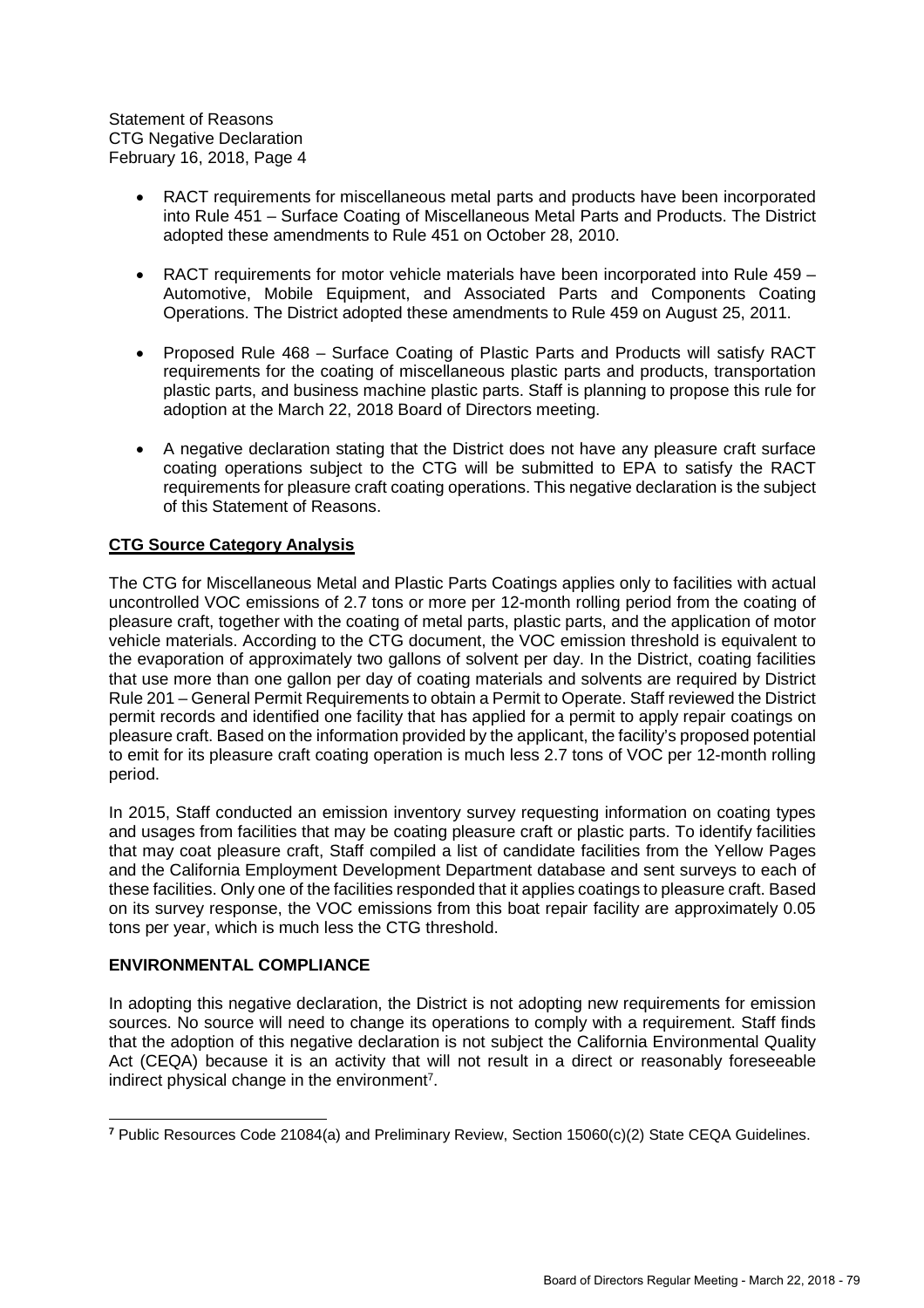Statement of Reasons CTG Negative Declaration February 16, 2018, Page 4

- RACT requirements for miscellaneous metal parts and products have been incorporated into Rule 451 – Surface Coating of Miscellaneous Metal Parts and Products. The District adopted these amendments to Rule 451 on October 28, 2010.
- RACT requirements for motor vehicle materials have been incorporated into Rule 459 Automotive, Mobile Equipment, and Associated Parts and Components Coating Operations. The District adopted these amendments to Rule 459 on August 25, 2011.
- Proposed Rule 468 Surface Coating of Plastic Parts and Products will satisfy RACT requirements for the coating of miscellaneous plastic parts and products, transportation plastic parts, and business machine plastic parts. Staff is planning to propose this rule for adoption at the March 22, 2018 Board of Directors meeting.
- A negative declaration stating that the District does not have any pleasure craft surface coating operations subject to the CTG will be submitted to EPA to satisfy the RACT requirements for pleasure craft coating operations. This negative declaration is the subject of this Statement of Reasons.

## **CTG Source Category Analysis**

The CTG for Miscellaneous Metal and Plastic Parts Coatings applies only to facilities with actual uncontrolled VOC emissions of 2.7 tons or more per 12-month rolling period from the coating of pleasure craft, together with the coating of metal parts, plastic parts, and the application of motor vehicle materials. According to the CTG document, the VOC emission threshold is equivalent to the evaporation of approximately two gallons of solvent per day. In the District, coating facilities that use more than one gallon per day of coating materials and solvents are required by District Rule 201 – General Permit Requirements to obtain a Permit to Operate. Staff reviewed the District permit records and identified one facility that has applied for a permit to apply repair coatings on pleasure craft. Based on the information provided by the applicant, the facility's proposed potential to emit for its pleasure craft coating operation is much less 2.7 tons of VOC per 12-month rolling period.

In 2015, Staff conducted an emission inventory survey requesting information on coating types and usages from facilities that may be coating pleasure craft or plastic parts. To identify facilities that may coat pleasure craft, Staff compiled a list of candidate facilities from the Yellow Pages and the California Employment Development Department database and sent surveys to each of these facilities. Only one of the facilities responded that it applies coatings to pleasure craft. Based on its survey response, the VOC emissions from this boat repair facility are approximately 0.05 tons per year, which is much less the CTG threshold.

### **ENVIRONMENTAL COMPLIANCE**

In adopting this negative declaration, the District is not adopting new requirements for emission sources. No source will need to change its operations to comply with a requirement. Staff finds that the adoption of this negative declaration is not subject the California Environmental Quality Act (CEQA) because it is an activity that will not result in a direct or reasonably foreseeable indirect physical change in the environment<sup>7</sup>.

**<sup>7</sup>** Public Resources Code 21084(a) and Preliminary Review, Section 15060(c)(2) State CEQA Guidelines.